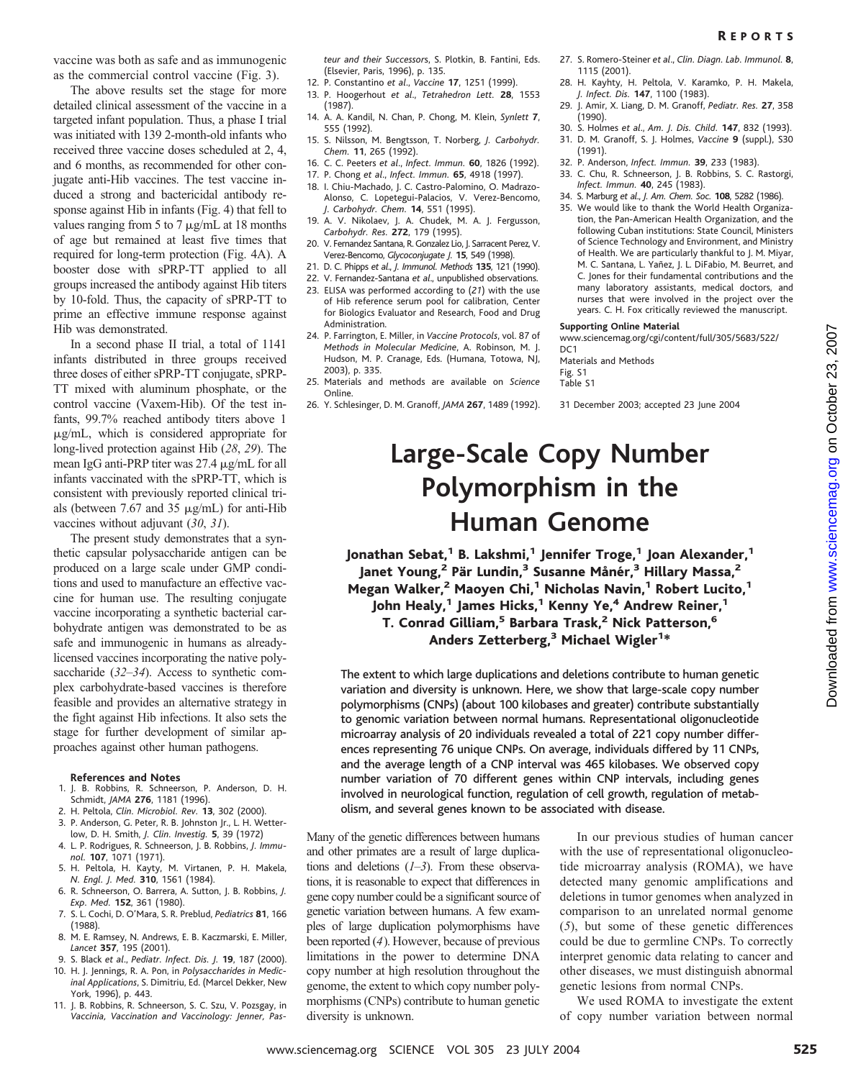The above results set the stage for more detailed clinical assessment of the vaccine in a targeted infant population. Thus, a phase I trial was initiated with 139 2-month-old infants who received three vaccine doses scheduled at 2, 4, and 6 months, as recommended for other conjugate anti-Hib vaccines. The test vaccine induced a strong and bactericidal antibody response against Hib in infants (Fig. 4) that fell to values ranging from 5 to 7  $\mu$ g/mL at 18 months of age but remained at least five times that required for long-term protection (Fig. 4A). A booster dose with sPRP-TT applied to all groups increased the antibody against Hib titers by 10-fold. Thus, the capacity of sPRP-TT to prime an effective immune response against Hib was demonstrated.

In a second phase II trial, a total of 1141 infants distributed in three groups received three doses of either sPRP-TT conjugate, sPRP-TT mixed with aluminum phosphate, or the control vaccine (Vaxem-Hib). Of the test infants, 99.7% reached antibody titers above 1  $\mu$ g/mL, which is considered appropriate for long-lived protection against Hib (*28*, *29*). The mean IgG anti-PRP titer was  $27.4 \mu$ g/mL for all infants vaccinated with the sPRP-TT, which is consistent with previously reported clinical trials (between  $7.67$  and  $35 \mu g/mL$ ) for anti-Hib vaccines without adjuvant (*30*, *31*).

The present study demonstrates that a synthetic capsular polysaccharide antigen can be produced on a large scale under GMP conditions and used to manufacture an effective vaccine for human use. The resulting conjugate vaccine incorporating a synthetic bacterial carbohydrate antigen was demonstrated to be as safe and immunogenic in humans as alreadylicensed vaccines incorporating the native polysaccharide (*32*–*34*). Access to synthetic complex carbohydrate-based vaccines is therefore feasible and provides an alternative strategy in the fight against Hib infections. It also sets the stage for further development of similar approaches against other human pathogens.

#### **References and Notes**

- 1. J. B. Robbins, R. Schneerson, P. Anderson, D. H. Schmidt, *JAMA* **276**, 1181 (1996).
- 2. H. Peltola, *Clin. Microbiol. Rev.* **13**, 302 (2000).
- 3. P. Anderson, G. Peter, R. B. Johnston Jr., L. H. Wetter-
- low, D. H. Smith, *J. Clin. Investig.* **5**, 39 (1972) 4. L. P. Rodrigues, R. Schneerson, J. B. Robbins, *J. Immunol.* **107**, 1071 (1971).
- 5. H. Peltola, H. Kayty, M. Virtanen, P. H. Makela, *N. Engl. J. Med.* **310**, 1561 (1984).
- 6. R. Schneerson, O. Barrera, A. Sutton, J. B. Robbins, *J. Exp. Med.* **152**, 361 (1980).
- 7. S. L. Cochi, D. O'Mara, S. R. Preblud, *Pediatrics* **81**, 166 (1988).
- 8. M. E. Ramsey, N. Andrews, E. B. Kaczmarski, E. Miller, *Lancet* **357**, 195 (2001).
- 9. S. Black *et al*., *Pediatr. Infect. Dis. J.* **19**, 187 (2000). 10. H. J. Jennings, R. A. Pon, in *Polysaccharides in Medic-*
- *inal Applications*, S. Dimitriu, Ed. (Marcel Dekker, New York, 1996), p. 443.
- 11. J. B. Robbins, R. Schneerson, S. C. Szu, V. Pozsgay, in *Vaccinia, Vaccination and Vaccinology: Jenner, Pas-*

*teur and their Successor*s, S. Plotkin, B. Fantini, Eds. (Elsevier, Paris, 1996), p. 135.

- 12. P. Constantino *et al*., *Vaccine* **17**, 1251 (1999). 13. P. Hoogerhout *et al*., *Tetrahedron Lett.* **28**, 1553 (1987).
- 14. A. A. Kandil, N. Chan, P. Chong, M. Klein, *Synlett* **7**, 555 (1992).
- 15. S. Nilsson, M. Bengtsson, T. Norberg, *J. Carbohydr. Chem.* **11**, 265 (1992).
- 16. C. C. Peeters *et al*., *Infect. Immun.* **60**, 1826 (1992).
- 17. P. Chong *et al*., *Infect. Immun.* **65**, 4918 (1997).
- 18. I. Chiu-Machado, J. C. Castro-Palomino, O. Madrazo-Alonso, C. Lopetegui-Palacios, V. Verez-Bencomo, *J. Carbohydr. Chem.* **14**, 551 (1995).
- 19. A. V. Nikolaev, J. A. Chudek, M. A. J. Fergusson, *Carbohydr. Res.* **272**, 179 (1995).
- 20. V. Fernandez Santana, R. Gonzalez Lio, J. Sarracent Perez, V. Verez-Bencomo, *Glycoconjugate J.* **15**, 549 (1998).
- 21. D. C. Phipps *et al*., *J. Immunol. Methods* **135**, 121 (1990).
- 22. V. Fernandez-Santana *et al*., unpublished observations.
- 23. ELISA was performed according to (*21*) with the use of Hib reference serum pool for calibration, Center for Biologics Evaluator and Research, Food and Drug Administration.
- 24. P. Farrington, E. Miller, in *Vaccine Protocols*, vol. 87 of *Methods in Molecular Medicine*, A. Robinson, M. J. Hudson, M. P. Cranage, Eds. (Humana, Totowa, NJ, 2003), p. 335.
- 25. Materials and methods are available on *Science* Online.
- 26. Y. Schlesinger, D. M. Granoff, *JAMA* **267**, 1489 (1992).
- 27. S. Romero-Steiner *et al*., *Clin. Diagn. Lab. Immunol.* **8**, 1115 (2001).
- 28. H. Kayhty, H. Peltola, V. Karamko, P. H. Makela, *J. Infect. Dis.* **147**, 1100 (1983).
- 29. J. Amir, X. Liang, D. M. Granoff, *Pediatr. Res.* **27**, 3 58 (1990).
- 30. S. Holmes *et al*., *Am. J. Dis. Child.* **147**, 832 (1993). 31. D. M. Granoff, S. J. Holmes, *Vaccine* **9** (suppl.), S30 (1991).
- 32. P. Anderson, *Infect. Immun.* **39**, 233 (1983).
- 33. C. Chu, R. Schneerson, J. B. Robbins, S. C. Rastorgi, *Infect. Immun.* **40**, 245 (1983).
- 34. S. Marburg *et al*., *J. Am. Chem. Soc.* **108**, 5282 (1986).
- 35. We would like to thank the World Health Organization, the Pan-American Health Organization, and the following Cuban institutions: State Council, Ministers of Science Technology and Environment, and Ministry of Health. We are particularly thankful to J. M. Miyar, M. C. Santana, L. Yañez, J. L. DiFabio, M. Beurret, and C. Jones for their fundamental contributions and the many laboratory assistants, medical doctors, and nurses that were involved in the project over the years. C. H. Fox critically reviewed the manuscript.

### **Supporting Online Material**

www.sciencemag.org/cgi/content/full/305/5683/522/  $DC1$ 

Materials and Methods Fig. S1 Table S1

31 December 2003; accepted 23 June 2004

# **Large-Scale Copy Number Polymorphism in the Human Genome**

Jonathan Sebat,<sup>1</sup> B. Lakshmi,<sup>1</sup> Jennifer Troge,<sup>1</sup> Joan Alexander,<sup>1</sup> Janet Young,<sup>2</sup> Pär Lundin,<sup>3</sup> Susanne Månér,<sup>3</sup> Hillary Massa,<sup>2</sup> Megan Walker,<sup>2</sup> Maoyen Chi,<sup>1</sup> Nicholas Navin,<sup>1</sup> Robert Lucito,<sup>1</sup> John Healy,<sup>1</sup> James Hicks,<sup>1</sup> Kenny Ye,<sup>4</sup> Andrew Reiner,<sup>1</sup> T. Conrad Gilliam,<sup>5</sup> Barbara Trask,<sup>2</sup> Nick Patterson,<sup>6</sup> Anders Zetterberg,<sup>3</sup> Michael Wigler<sup>1\*</sup>

The extent to which large duplications and deletions contribute to human genetic variation and diversity is unknown. Here, we show that large-scale copy number polymorphisms (CNPs) (about 100 kilobases and greater) contribute substantially to genomic variation between normal humans. Representational oligonucleotide microarray analysis of 20 individuals revealed a total of 221 copy number differences representing 76 unique CNPs. On average, individuals differed by 11 CNPs, and the average length of a CNP interval was 465 kilobases. We observed copy number variation of 70 different genes within CNP intervals, including genes involved in neurological function, regulation of cell growth, regulation of metabolism, and several genes known to be associated with disease.

Many of the genetic differences between humans and other primates are a result of large duplications and deletions (*1*–*3*). From these observations, it is reasonable to expect that differences in gene copy number could be a significant source of genetic variation between humans. A few examples of large duplication polymorphisms have been reported (*4*). However, because of previous limitations in the power to determine DNA copy number at high resolution throughout the genome, the extent to which copy number polymorphisms (CNPs) contribute to human genetic diversity is unknown.

In our previous studies of human cancer with the use of representational oligonucleotide microarray analysis (ROMA), we have detected many genomic amplifications and deletions in tumor genomes when analyzed in comparison to an unrelated normal genome (*5*), but some of these genetic differences could be due to germline CNPs. To correctly interpret genomic data relating to cancer and other diseases, we must distinguish abnormal genetic lesions from normal CNPs.

We used ROMA to investigate the extent of copy number variation between normal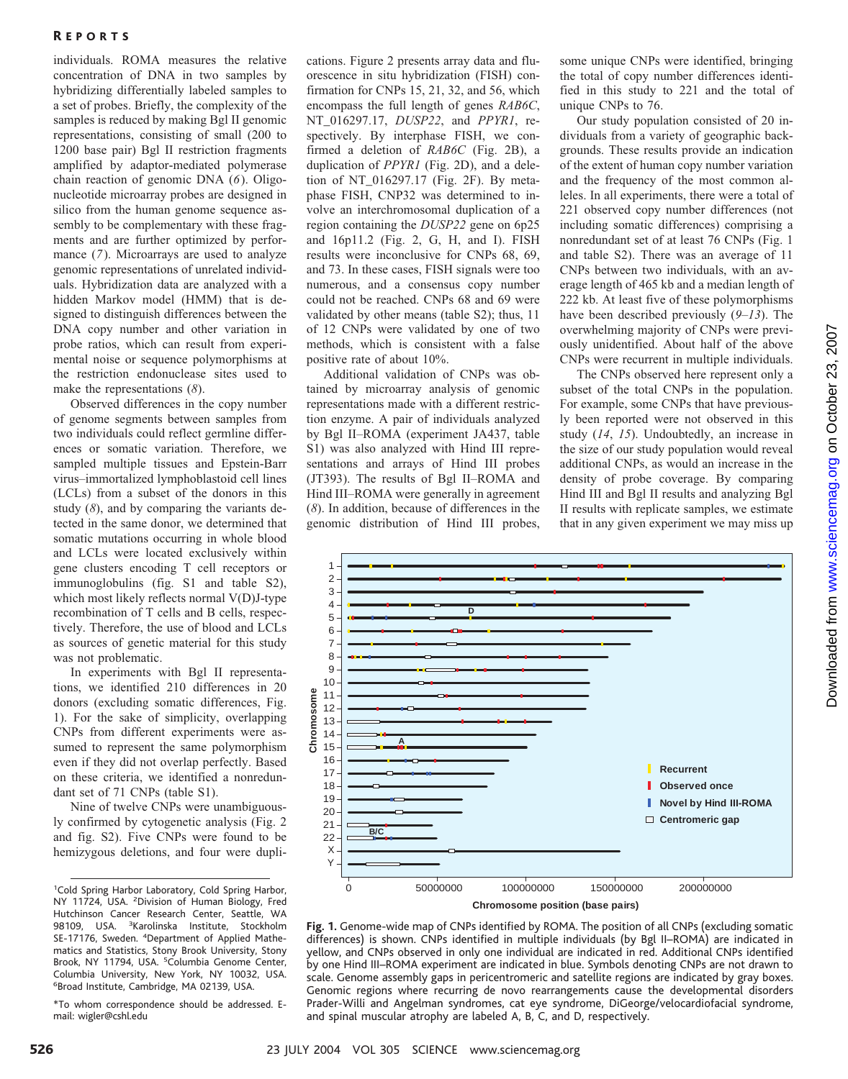## R EPORTS

individuals. ROMA measures the relative concentration of DNA in two samples by hybridizing differentially labeled samples to a set of probes. Briefly, the complexity of the samples is reduced by making Bgl II genomic representations, consisting of small (200 to 1200 base pair) Bgl II restriction fragments amplified by adaptor-mediated polymerase chain reaction of genomic DNA (*6*). Oligonucleotide microarray probes are designed in silico from the human genome sequence assembly to be complementary with these fragments and are further optimized by performance (*7*). Microarrays are used to analyze genomic representations of unrelated individuals. Hybridization data are analyzed with a hidden Markov model (HMM) that is designed to distinguish differences between the DNA copy number and other variation in probe ratios, which can result from experimental noise or sequence polymorphisms at the restriction endonuclease sites used to make the representations (*8*).

Observed differences in the copy number of genome segments between samples from two individuals could reflect germline differences or somatic variation. Therefore, we sampled multiple tissues and Epstein-Barr virus–immortalized lymphoblastoid cell lines (LCLs) from a subset of the donors in this study (*8*), and by comparing the variants detected in the same donor, we determined that somatic mutations occurring in whole blood and LCLs were located exclusively within gene clusters encoding T cell receptors or immunoglobulins (fig. S1 and table S2), which most likely reflects normal V(D)J-type recombination of T cells and B cells, respectively. Therefore, the use of blood and LCLs as sources of genetic material for this study was not problematic.

In experiments with Bgl II representations, we identified 210 differences in 20 donors (excluding somatic differences, Fig. 1). For the sake of simplicity, overlapping CNPs from different experiments were assumed to represent the same polymorphism even if they did not overlap perfectly. Based on these criteria, we identified a nonredundant set of 71 CNPs (table S1).

Nine of twelve CNPs were unambiguously confirmed by cytogenetic analysis (Fig. 2 and fig. S2). Five CNPs were found to be hemizygous deletions, and four were dupli-

\*To whom correspondence should be addressed. Email: wigler@cshl.edu

cations. Figure 2 presents array data and fluorescence in situ hybridization (FISH) confirmation for CNPs 15, 21, 32, and 56, which encompass the full length of genes *RAB6C*, NT\_016297.17, *DUSP22*, and *PPYR1*, respectively. By interphase FISH, we confirmed a deletion of *RAB6C* (Fig. 2B), a duplication of *PPYR1* (Fig. 2D), and a deletion of NT\_016297.17 (Fig. 2F). By metaphase FISH, CNP32 was determined to involve an interchromosomal duplication of a region containing the *DUSP22* gene on 6p25 and 16p11.2 (Fig. 2, G, H, and I). FISH results were inconclusive for CNPs 68, 69, and 73. In these cases, FISH signals were too numerous, and a consensus copy number could not be reached. CNPs 68 and 69 were validated by other means (table S2); thus, 11 of 12 CNPs were validated by one of two methods, which is consistent with a false positive rate of about 10%.

Additional validation of CNPs was obtained by microarray analysis of genomic representations made with a different restriction enzyme. A pair of individuals analyzed by Bgl II–ROMA (experiment JA437, table S1) was also analyzed with Hind III representations and arrays of Hind III probes (JT393). The results of Bgl II–ROMA and Hind III–ROMA were generally in agreement (*8*). In addition, because of differences in the genomic distribution of Hind III probes, some unique CNPs were identified, bringing the total of copy number differences identified in this study to 221 and the total of unique CNPs to 76.

Our study population consisted of 20 individuals from a variety of geographic backgrounds. These results provide an indication of the extent of human copy number variation and the frequency of the most common alleles. In all experiments, there were a total of 221 observed copy number differences (not including somatic differences) comprising a nonredundant set of at least 76 CNPs (Fig. 1 and table S2). There was an average of 11 CNPs between two individuals, with an average length of 465 kb and a median length of 222 kb. At least five of these polymorphisms have been described previously (*9*–*13*). The overwhelming majority of CNPs were previously unidentified. About half of the above CNPs were recurrent in multiple individuals.

The CNPs observed here represent only a subset of the total CNPs in the population. For example, some CNPs that have previously been reported were not observed in this study (*14*, *15*). Undoubtedly, an increase in the size of our study population would reveal additional CNPs, as would an increase in the density of probe coverage. By comparing Hind III and Bgl II results and analyzing Bgl II results with replicate samples, we estimate that in any given experiment we may miss up



**Fig.1.** Genome-wide map of CNPs identified by ROMA. The position of all CNPs (excluding somatic differences) is shown. CNPs identified in multiple individuals (by Bgl II–ROMA) are indicated in yellow, and CNPs observed in only one individual are indicated in red. Additional CNPs identified by one Hind III–ROMA experiment are indicated in blue. Symbols denoting CNPs are not drawn to scale. Genome assembly gaps in pericentromeric and satellite regions are indicated by gray boxes. Genomic regions where recurring de novo rearrangements cause the developmental disorders Prader-Willi and Angelman syndromes, cat eye syndrome, DiGeorge/velocardiofacial syndrome, and spinal muscular atrophy are labeled A, B, C, and D, respectively.

<sup>&</sup>lt;sup>1</sup>Cold Spring Harbor Laboratory, Cold Spring Harbor, NY 11724, USA. <sup>2</sup>Division of Human Biology, Fred Hutchinson Cancer Research Center, Seattle, WA 98109, USA. <sup>3</sup>Karolinska Institute, Stockholm SE-17176, Sweden. <sup>4</sup>Department of Applied Mathematics and Statistics, Stony Brook University, Stony Brook, NY 11794, USA. <sup>5</sup>Columbia Genome Center, Columbia University, New York, NY 10032, USA. 6 Broad Institute, Cambridge, MA 02139, USA.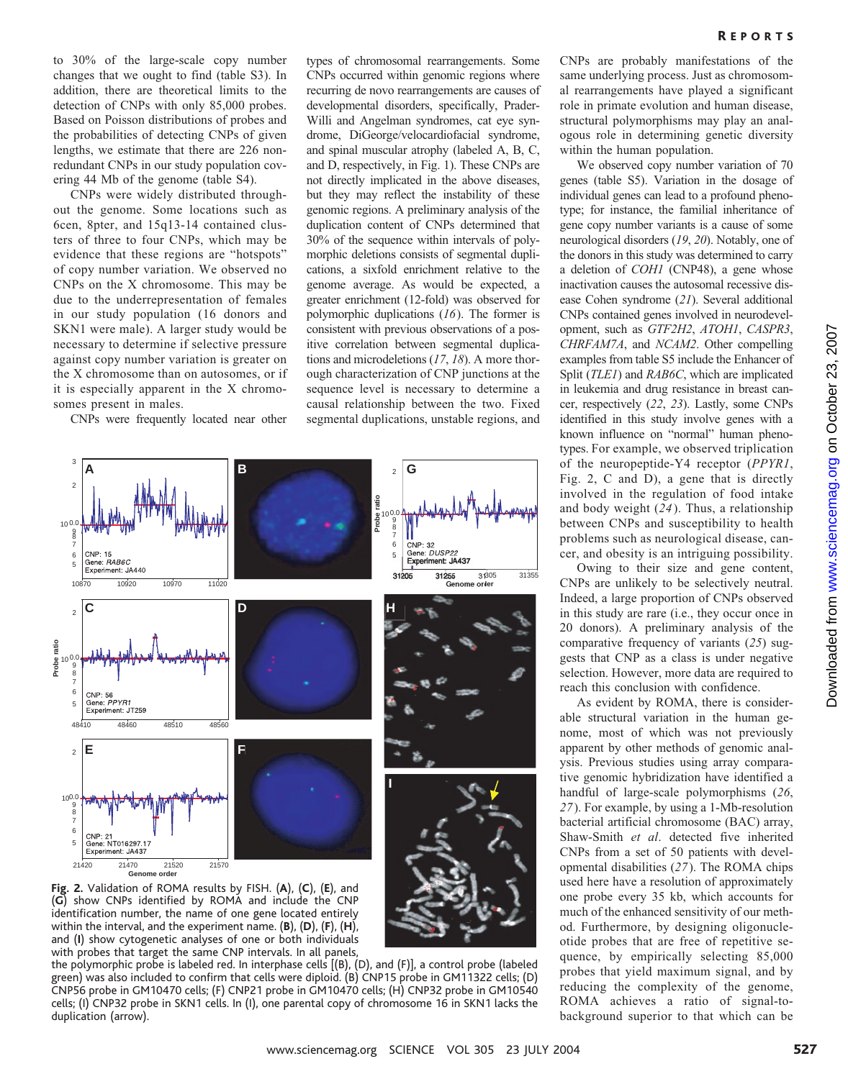to 30% of the large-scale copy number changes that we ought to find (table S3). In addition, there are theoretical limits to the detection of CNPs with only 85,000 probes. Based on Poisson distributions of probes and the probabilities of detecting CNPs of given lengths, we estimate that there are 226 nonredundant CNPs in our study population covering 44 Mb of the genome (table S4).

CNPs were widely distributed throughout the genome. Some locations such as 6cen, 8pter, and 15q13-14 contained clusters of three to four CNPs, which may be evidence that these regions are "hotspots" of copy number variation. We observed no CNPs on the X chromosome. This may be due to the underrepresentation of females in our study population (16 donors and SKN1 were male). A larger study would be necessary to determine if selective pressure against copy number variation is greater on the X chromosome than on autosomes, or if it is especially apparent in the X chromosomes present in males.

CNPs were frequently located near other

types of chromosomal rearrangements. Some CNPs occurred within genomic regions where recurring de novo rearrangements are causes of developmental disorders, specifically, Prader-Willi and Angelman syndromes, cat eye syndrome, DiGeorge/velocardiofacial syndrome, and spinal muscular atrophy (labeled A, B, C, and D, respectively, in Fig. 1). These CNPs are not directly implicated in the above diseases, but they may reflect the instability of these genomic regions. A preliminary analysis of the duplication content of CNPs determined that 30% of the sequence within intervals of polymorphic deletions consists of segmental duplications, a sixfold enrichment relative to the genome average. As would be expected, a greater enrichment (12-fold) was observed for polymorphic duplications (*16*). The former is consistent with previous observations of a positive correlation between segmental duplications and microdeletions (*17*, *18*). A more thorough characterization of CNP junctions at the sequence level is necessary to determine a causal relationship between the two. Fixed segmental duplications, unstable regions, and



(**G**) show CNPs identified by ROMA and include the CNP identification number, the name of one gene located entirely within the interval, and the experiment name. (**B**), (**D**), (**F**), (**H**), and (**I**) show cytogenetic analyses of one or both individuals with probes that target the same CNP intervals. In all panels,

the polymorphic probe is labeled red. In interphase cells [(B), (D), and (F)], a control probe (labeled green) was also included to confirm that cells were diploid. (B) CNP15 probe in GM11322 cells; (D) CNP56 probe in GM10470 cells; (F) CNP21 probe in GM10470 cells; (H) CNP32 probe in GM10540 cells; (I) CNP32 probe in SKN1 cells. In (I), one parental copy of chromosome 16 in SKN1 lacks the duplication (arrow).

CNPs are probably manifestations of the same underlying process. Just as chromosomal rearrangements have played a significant role in primate evolution and human disease, structural polymorphisms may play an analogous role in determining genetic diversity within the human population.

We observed copy number variation of 70 genes (table S5). Variation in the dosage of individual genes can lead to a profound phenotype; for instance, the familial inheritance of gene copy number variants is a cause of some neurological disorders (*19*, *20*). Notably, one of the donors in this study was determined to carry a deletion of *COH1* (CNP48), a gene whose inactivation causes the autosomal recessive disease Cohen syndrome (*21*). Several additional CNPs contained genes involved in neurodevelopment, such as *GTF2H2*, *ATOH1*, *CASPR3*, *CHRFAM7A*, and *NCAM2*. Other compelling examples from table S5 include the Enhancer of Split (*TLE1*) and *RAB6C*, which are implicated in leukemia and drug resistance in breast cancer, respectively (*22*, *23*). Lastly, some CNPs identified in this study involve genes with a known influence on "normal" human phenotypes. For example, we observed triplication of the neuropeptide-Y4 receptor (*PPYR1*, Fig. 2, C and D), a gene that is directly involved in the regulation of food intake and body weight (*24*). Thus, a relationship between CNPs and susceptibility to health problems such as neurological disease, cancer, and obesity is an intriguing possibility.

Owing to their size and gene content, CNPs are unlikely to be selectively neutral. Indeed, a large proportion of CNPs observed in this study are rare (i.e., they occur once in 20 donors). A preliminary analysis of the comparative frequency of variants (*25*) suggests that CNP as a class is under negative selection. However, more data are required to reach this conclusion with confidence.

As evident by ROMA, there is considerable structural variation in the human genome, most of which was not previously apparent by other methods of genomic analysis. Previous studies using array comparative genomic hybridization have identified a handful of large-scale polymorphisms (*26*, *27*). For example, by using a 1-Mb-resolution bacterial artificial chromosome (BAC) array, Shaw-Smith *et al*. detected five inherited CNPs from a set of 50 patients with developmental disabilities (*27*). The ROMA chips used here have a resolution of approximately one probe every 35 kb, which accounts for much of the enhanced sensitivity of our method. Furthermore, by designing oligonucleotide probes that are free of repetitive sequence, by empirically selecting 85,000 probes that yield maximum signal, and by reducing the complexity of the genome, ROMA achieves a ratio of signal-tobackground superior to that which can be